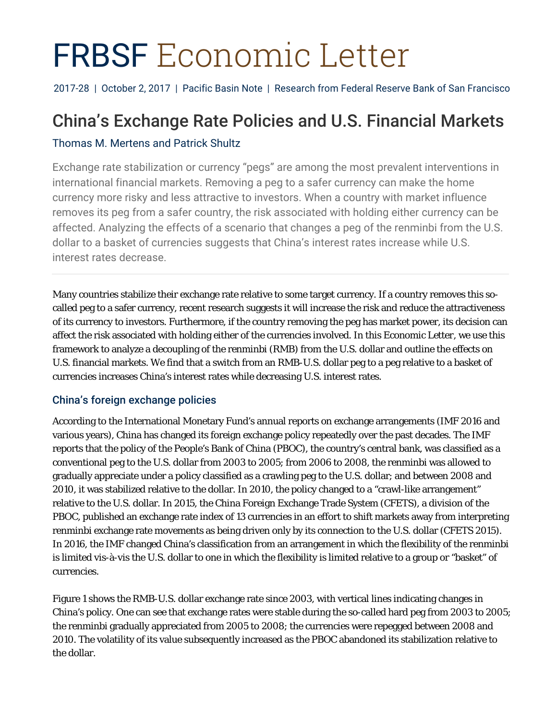# FRBSF Economic Letter

2017-28 | October 2, 2017 | Pacific Basin Note | Research from Federal Reserve Bank of San Francisco

# China's Exchange Rate Policies and U.S. Financial Markets

# Thomas M. Mertens and Patrick Shultz

Exchange rate stabilization or currency "pegs" are among the most prevalent interventions in international financial markets. Removing a peg to a safer currency can make the home currency more risky and less attractive to investors. When a country with market influence removes its peg from a safer country, the risk associated with holding either currency can be affected. Analyzing the effects of a scenario that changes a peg of the renminbi from the U.S. dollar to a basket of currencies suggests that China's interest rates increase while U.S. interest rates decrease.

Many countries stabilize their exchange rate relative to some target currency. If a country removes this socalled peg to a safer currency, recent research suggests it will increase the risk and reduce the attractiveness of its currency to investors. Furthermore, if the country removing the peg has market power, its decision can affect the risk associated with holding either of the currencies involved. In this *Economic Letter*, we use this framework to analyze a decoupling of the renminbi (RMB) from the U.S. dollar and outline the effects on U.S. financial markets. We find that a switch from an RMB-U.S. dollar peg to a peg relative to a basket of currencies increases China's interest rates while decreasing U.S. interest rates.

# China's foreign exchange policies

According to the International Monetary Fund's annual reports on exchange arrangements (IMF 2016 and various years), China has changed its foreign exchange policy repeatedly over the past decades. The IMF reports that the policy of the People's Bank of China (PBOC), the country's central bank, was classified as a conventional peg to the U.S. dollar from 2003 to 2005; from 2006 to 2008, the renminbi was allowed to gradually appreciate under a policy classified as a crawling peg to the U.S. dollar; and between 2008 and 2010, it was stabilized relative to the dollar. In 2010, the policy changed to a "crawl-like arrangement" relative to the U.S. dollar. In 2015, the China Foreign Exchange Trade System (CFETS), a division of the PBOC, published an exchange rate index of 13 currencies in an effort to shift markets away from interpreting renminbi exchange rate movements as being driven only by its connection to the U.S. dollar (CFETS 2015). In 2016, the IMF changed China's classification from an arrangement in which the flexibility of the renminbi is limited vis-à-vis the U.S. dollar to one in which the flexibility is limited relative to a group or "basket" of currencies.

Figure 1 shows the RMB-U.S. dollar exchange rate since 2003, with vertical lines indicating changes in China's policy. One can see that exchange rates were stable during the so-called hard peg from 2003 to 2005; the renminbi gradually appreciated from 2005 to 2008; the currencies were repegged between 2008 and 2010. The volatility of its value subsequently increased as the PBOC abandoned its stabilization relative to the dollar.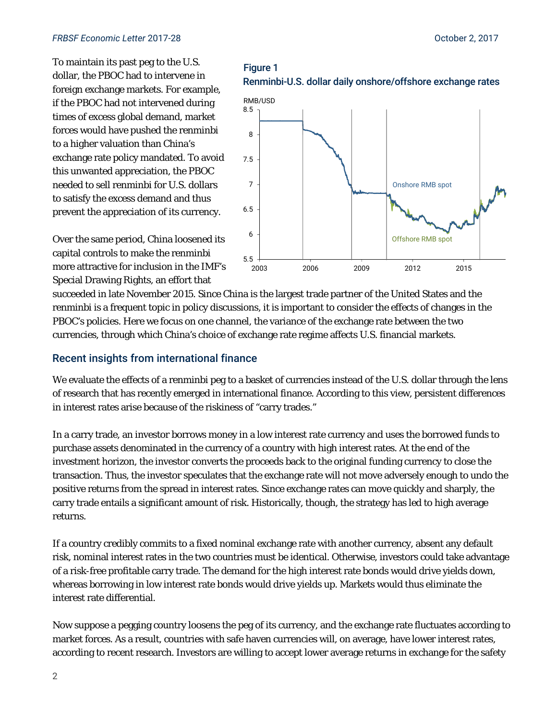To maintain its past peg to the U.S. dollar, the PBOC had to intervene in foreign exchange markets. For example, if the PBOC had not intervened during times of excess global demand, market forces would have pushed the renminbi to a higher valuation than China's exchange rate policy mandated. To avoid this unwanted appreciation, the PBOC needed to sell renminbi for U.S. dollars to satisfy the excess demand and thus prevent the appreciation of its currency.

Over the same period, China loosened its capital controls to make the renminbi more attractive for inclusion in the IMF's Special Drawing Rights, an effort that

# Figure 1 Renminbi-U.S. dollar daily onshore/offshore exchange rates



succeeded in late November 2015. Since China is the largest trade partner of the United States and the renminbi is a frequent topic in policy discussions, it is important to consider the effects of changes in the PBOC's policies. Here we focus on one channel, the variance of the exchange rate between the two currencies, through which China's choice of exchange rate regime affects U.S. financial markets.

# Recent insights from international finance

We evaluate the effects of a renminbi peg to a basket of currencies instead of the U.S. dollar through the lens of research that has recently emerged in international finance. According to this view, persistent differences in interest rates arise because of the riskiness of "carry trades."

In a carry trade, an investor borrows money in a low interest rate currency and uses the borrowed funds to purchase assets denominated in the currency of a country with high interest rates. At the end of the investment horizon, the investor converts the proceeds back to the original funding currency to close the transaction. Thus, the investor speculates that the exchange rate will not move adversely enough to undo the positive returns from the spread in interest rates. Since exchange rates can move quickly and sharply, the carry trade entails a significant amount of risk. Historically, though, the strategy has led to high average returns.

If a country credibly commits to a fixed nominal exchange rate with another currency, absent any default risk, nominal interest rates in the two countries must be identical. Otherwise, investors could take advantage of a risk-free profitable carry trade. The demand for the high interest rate bonds would drive yields down, whereas borrowing in low interest rate bonds would drive yields up. Markets would thus eliminate the interest rate differential.

Now suppose a pegging country loosens the peg of its currency, and the exchange rate fluctuates according to market forces. As a result, countries with safe haven currencies will, on average, have lower interest rates, according to recent research. Investors are willing to accept lower average returns in exchange for the safety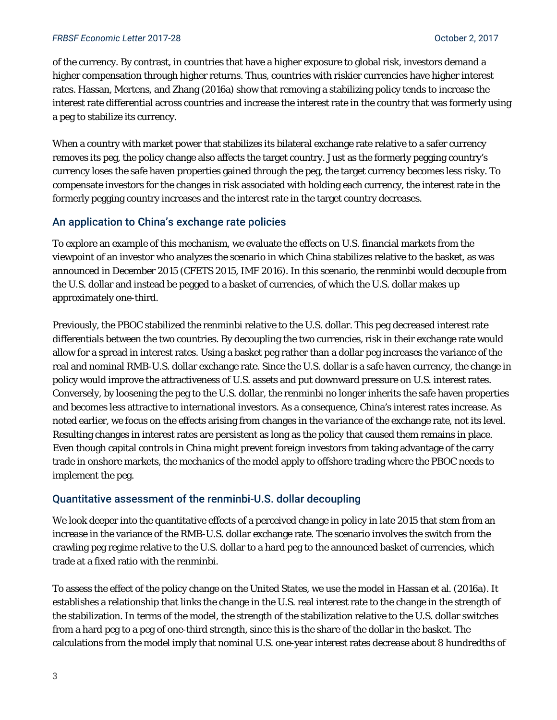#### *FRBSF Economic Letter* 2017-28 October 2, 2017

of the currency. By contrast, in countries that have a higher exposure to global risk, investors demand a higher compensation through higher returns. Thus, countries with riskier currencies have higher interest rates. Hassan, Mertens, and Zhang (2016a) show that removing a stabilizing policy tends to increase the interest rate differential across countries and increase the interest rate in the country that was formerly using a peg to stabilize its currency.

When a country with market power that stabilizes its bilateral exchange rate relative to a safer currency removes its peg, the policy change also affects the target country. Just as the formerly pegging country's currency loses the safe haven properties gained through the peg, the target currency becomes less risky. To compensate investors for the changes in risk associated with holding each currency, the interest rate in the formerly pegging country increases and the interest rate in the target country decreases.

# An application to China's exchange rate policies

To explore an example of this mechanism, we evaluate the effects on U.S. financial markets from the viewpoint of an investor who analyzes the scenario in which China stabilizes relative to the basket, as was announced in December 2015 (CFETS 2015, IMF 2016). In this scenario, the renminbi would decouple from the U.S. dollar and instead be pegged to a basket of currencies, of which the U.S. dollar makes up approximately one-third.

Previously, the PBOC stabilized the renminbi relative to the U.S. dollar. This peg decreased interest rate differentials between the two countries. By decoupling the two currencies, risk in their exchange rate would allow for a spread in interest rates. Using a basket peg rather than a dollar peg increases the variance of the real and nominal RMB-U.S. dollar exchange rate. Since the U.S. dollar is a safe haven currency, the change in policy would improve the attractiveness of U.S. assets and put downward pressure on U.S. interest rates. Conversely, by loosening the peg to the U.S. dollar, the renminbi no longer inherits the safe haven properties and becomes less attractive to international investors. As a consequence, China's interest rates increase. As noted earlier, we focus on the effects arising from changes in the *variance* of the exchange rate, not its level. Resulting changes in interest rates are persistent as long as the policy that caused them remains in place. Even though capital controls in China might prevent foreign investors from taking advantage of the carry trade in onshore markets, the mechanics of the model apply to offshore trading where the PBOC needs to implement the peg.

# Quantitative assessment of the renminbi-U.S. dollar decoupling

We look deeper into the quantitative effects of a perceived change in policy in late 2015 that stem from an increase in the variance of the RMB-U.S. dollar exchange rate. The scenario involves the switch from the crawling peg regime relative to the U.S. dollar to a hard peg to the announced basket of currencies, which trade at a fixed ratio with the renminbi.

To assess the effect of the policy change on the United States, we use the model in Hassan et al. (2016a). It establishes a relationship that links the change in the U.S. real interest rate to the change in the strength of the stabilization. In terms of the model, the strength of the stabilization relative to the U.S. dollar switches from a hard peg to a peg of one-third strength, since this is the share of the dollar in the basket. The calculations from the model imply that nominal U.S. one-year interest rates decrease about 8 hundredths of